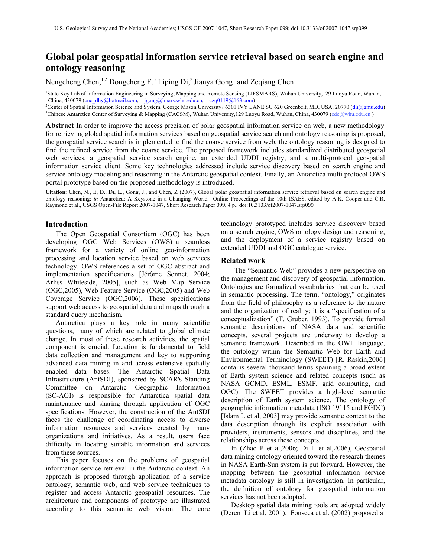# **Global polar geospatial information service retrieval based on search engine and ontology reasoning**

Nengcheng Chen,<sup>1,2</sup> Dongcheng E,<sup>3</sup> Liping Di,<sup>2</sup> Jianya Gong<sup>1</sup> and Zeqiang Chen<sup>1</sup>

<sup>1</sup>State Key Lab of Information Engineering in Surveying, Mapping and Remote Sensing (LIESMARS), Wuhan University,129 Luoyu Road, Wuhan, China, 430079 [\(cnc\\_dhy@hotmail.com;](mailto:cnc_dhy@hotmail.com) [jgong@lmars.whu.edu.cn;](mailto:jgong@lmars.whu.edu.cn) [czq0119@163.com\)](mailto:czq0119@163.com) 2

<sup>2</sup>Center of Spatial Information Science and System, George Mason University, 6301 IVY LANE SU 620 Greenbelt, MD, USA, 20770 (dli@gmu.edu) <sup>3</sup>Chinese Antarctica Center of Surveying & Mapping (CACSM), Wuhan University,129 Luoyu Road, Wuhan, China, 430079 (edc@whu.edu.cn)

**Abstract** In order to improve the access precision of polar geospatial information service on web, a new methodology for retrieving global spatial information services based on geospatial service search and ontology reasoning is proposed, the geospatial service search is implemented to find the coarse service from web, the ontology reasoning is designed to find the refined service from the coarse service. The proposed framework includes standardized distributed geospatial web services, a geospatial service search engine, an extended UDDI registry, and a multi-protocol geospatial information service client. Some key technologies addressed include service discovery based on search engine and service ontology modeling and reasoning in the Antarctic geospatial context. Finally, an Antarctica multi protocol OWS portal prototype based on the proposed methodology is introduced.

**Citation**: Chen, N., E, D., Di, L., Gong, J., and Chen, Z (2007), Global polar geospatial information service retrieval based on search engine and ontology reasoning: *in* Antarctica: A Keystone in a Changing World—Online Proceedings of the 10th ISAES, edited by A.K. Cooper and C.R. Raymond et al., USGS Open-File Report 2007-1047, Short Research Paper 099, 4 p.; doi:10.3133/of2007-1047.srp099

# **Introduction**

The Open Geospatial Consortium (OGC) has been developing OGC Web Services (OWS)–a seamless framework for a variety of online geo-information processing and location service based on web services technology. OWS references a set of OGC abstract and implementation specifications [Jérôme Sonnet, 2004; Arliss Whiteside, 2005], such as Web Map Service (OGC,2005), Web Feature Service (OGC,2005) and Web Coverage Service (OGC,2006). These specifications support web access to geospatial data and maps through a standard query mechanism.

Antarctica plays a key role in many scientific questions, many of which are related to global climate change. In most of these research activities, the spatial component is crucial. Location is fundamental to field data collection and management and key to supporting advanced data mining in and across extensive spatially enabled data bases. The Antarctic Spatial Data Infrastructure (AntSDI), sponsored by SCAR's Standing Committee on Antarctic Geographic Information (SC-AGI) is responsible for Antarctica spatial data maintenance and sharing through application of OGC specifications. However, the construction of the AntSDI faces the challenge of coordinating access to diverse information resources and services created by many organizations and initiatives. As a result, users face difficulty in locating suitable information and services from these sources.

This paper focuses on the problems of geospatial information service retrieval in the Antarctic context. An approach is proposed through application of a service ontology, semantic web, and web service techniques to register and access Antarctic geospatial resources. The architecture and components of prototype are illustrated according to this semantic web vision. The core

technology prototyped includes service discovery based on a search engine, OWS ontology design and reasoning, and the deployment of a service registry based on extended UDDI and OGC catalogue service.

## **Related work**

 The "Semantic Web" provides a new perspective on the management and discovery of geospatial information. Ontologies are formalized vocabularies that can be used in semantic processing. The term, "ontology," originates from the field of philosophy as a reference to the nature and the organization of reality; it is a "specification of a conceptualization" (T. Gruber, 1993). To provide formal semantic descriptions of NASA data and scientific concepts, several projects are underway to develop a semantic framework. Described in the OWL language, the ontology within the Semantic Web for Earth and Environmental Terminology (SWEET) [R. Raskin,2006] contains several thousand terms spanning a broad extent of Earth system science and related concepts (such as NASA GCMD, ESML, ESMF, grid computing, and OGC). The SWEET provides a high-level semantic description of Earth system science. The ontology of geographic information metadata (ISO 19115 and FGDC) [Islam L et al, 2003] may provide semantic context to the data description through its explicit association with providers, instruments, sensors and disciplines, and the relationships across these concepts.

In (Zhao P et al,2006; Di L et al,2006), Geospatial data mining ontology oriented toward the research themes in NASA Earth-Sun system is put forward. However, the mapping between the geospatial information service metadata ontology is still in investigation. In particular, the definition of ontology for geospatial information services has not been adopted.

Desktop spatial data mining tools are adopted widely (Deren Li et al, 2001). Fonseca et al. (2002) proposed a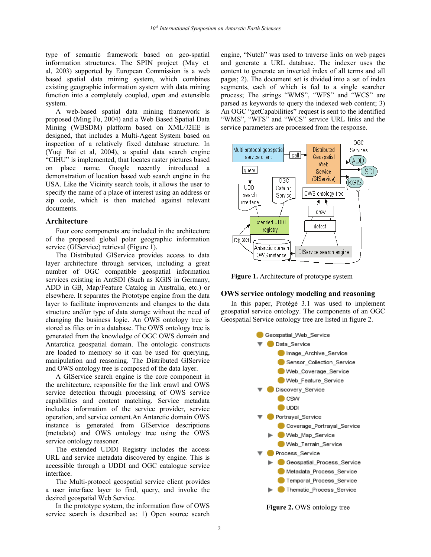type of semantic framework based on geo-spatial information structures. The SPIN project (May et al, 2003) supported by European Commission is a web based spatial data mining system, which combines existing geographic information system with data mining function into a completely coupled, open and extensible system.

A web-based spatial data mining framework is proposed (Ming Fu, 2004) and a Web Based Spatial Data Mining (WBSDM) platform based on XML/J2EE is designed, that includes a Multi-Agent System based on inspection of a relatively fixed database structure. In (Yuqi Bai et al, 2004), a spatial data search engine "CIHU" is implemented, that locates raster pictures based on place name. Google recently introduced a demonstration of location based web search engine in the USA. Like the Vicinity search tools, it allows the user to specify the name of a place of interest using an address or zip code, which is then matched against relevant documents.

#### **Architecture**

Four core components are included in the architecture of the proposed global polar geographic information service (GIService) retrieval (Figure 1).

The Distributed GIService provides access to data layer architecture through services, including a great number of OGC compatible geospatial information services existing in AntSDI (Such as KGIS in Germany, ADD in GB, Map/Feature Catalog in Australia, etc.) or elsewhere. It separates the Prototype engine from the data layer to facilitate improvements and changes to the data structure and/or type of data storage without the need of changing the business logic. An OWS ontology tree is stored as files or in a database. The OWS ontology tree is generated from the knowledge of OGC OWS domain and Antarctica geospatial domain. The ontologic constructs are loaded to memory so it can be used for querying, manipulation and reasoning. The Distributed GIService and OWS ontology tree is composed of the data layer.

A GIService search engine is the core component in the architecture, responsible for the link crawl and OWS service detection through processing of OWS service capabilities and content matching. Service metadata includes information of the service provider, service operation, and service content.An Antarctic domain OWS instance is generated from GIService descriptions (metadata) and OWS ontology tree using the OWS service ontology reasoner.

The extended UDDI Registry includes the access URL and service metadata discovered by engine. This is accessible through a UDDI and OGC catalogue service interface.

The Multi-protocol geospatial service client provides a user interface layer to find, query, and invoke the desired geospatial Web Service.

In the prototype system, the information flow of OWS service search is described as: 1) Open source search

engine, "Nutch" was used to traverse links on web pages and generate a URL database. The indexer uses the content to generate an inverted index of all terms and all pages; 2). The document set is divided into a set of index segments, each of which is fed to a single searcher process; The strings "WMS", "WFS" and "WCS" are parsed as keywords to query the indexed web content; 3) An OGC "getCapabilities" request is sent to the identified "WMS", "WFS" and "WCS" service URL links and the service parameters are processed from the response.



**Figure 1.** Architecture of prototype system

# **OWS service ontology modeling and reasoning**

In this paper, Protégé 3.1 was used to implement geospatial service ontology. The components of an OGC Geospatial Service ontology tree are listed in figure 2.



**Figure 2.** OWS ontology tree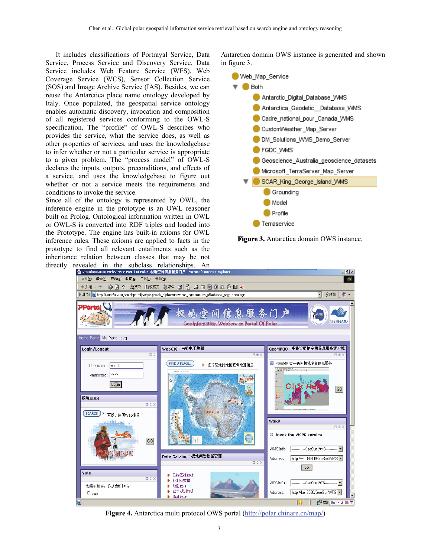It includes classifications of Portrayal Service, Data Service, Process Service and Discovery Service. Data Service includes Web Feature Service (WFS), Web Coverage Service (WCS), Sensor Collection Service (SOS) and Image Archive Service (IAS). Besides, we can reuse the Antarctica place name ontology developed by Italy. Once populated, the geospatial service ontology enables automatic discovery, invocation and composition of all registered services conforming to the OWL-S specification. The "profile" of OWL-S describes who provides the service, what the service does, as well as other properties of services, and uses the knowledgebase to infer whether or not a particular service is appropriate to a given problem. The "process model" of OWL-S declares the inputs, outputs, preconditions, and effects of a service, and uses the knowledgebase to figure out whether or not a service meets the requirements and conditions to invoke the service.

Since all of the ontology is represented by OWL, the inference engine in the prototype is an OWL reasoner built on Prolog. Ontological information written in OWL or OWL-S is converted into RDF triples and loaded into the Prototype. The engine has built-in axioms for OWL inference rules. These axioms are applied to facts in the prototype to find all relevant entailments such as the inheritance relation between classes that may be not directly revealed in the subclass relationships. An

Antarctica domain OWS instance is generated and shown in figure 3.



**Figure 3.** Antarctica domain OWS instance.



Figure 4. Antarctica multi protocol OWS portal [\(http://polar.chinare.cn/map/](http://polar.chinare.cn/map/))